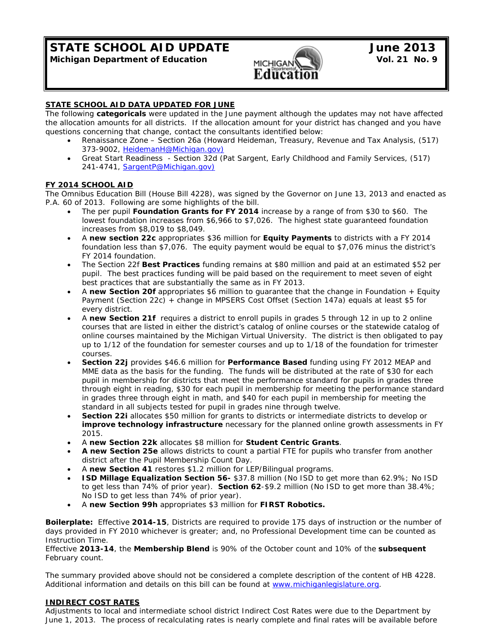**STATE SCHOOL AID UPDATE June 2013**<br>Michigan Department of Education **June 2013 Michigan Department of Education MICHIGAN** 



## **STATE SCHOOL AID DATA UPDATED FOR JUNE**

The following **categoricals** were updated in the June payment although the updates may not have affected the allocation amounts for all districts. If the allocation amount for your district has changed and you have questions concerning that change, contact the consultants identified below:

- Renaissance Zone Section 26a (Howard Heideman, Treasury, Revenue and Tax Analysis, (517) 373-9002, *HeidemanH@Michigan.gov*)
- Great Start Readiness Section 32d (Pat Sargent, Early Childhood and Family Services, (517) 241-4741, *SargentP@Michigan.gov*)

## **FY 2014 SCHOOL AID**

The Omnibus Education Bill (House Bill 4228), was signed by the Governor on June 13, 2013 and enacted as P.A. 60 of 2013. Following are some highlights of the bill.

- The per pupil **Foundation Grants for FY 2014** increase by a range of from \$30 to \$60. The lowest foundation increases from \$6,966 to \$7,026. The highest state guaranteed foundation increases from \$8,019 to \$8,049.
- A **new section 22c** appropriates \$36 million for **Equity Payments** to districts with a FY 2014 foundation less than \$7,076. The equity payment would be equal to \$7,076 minus the district's FY 2014 foundation.
- The Section 22f **Best Practices** funding remains at \$80 million and paid at an estimated \$52 per pupil. The best practices funding will be paid based on the requirement to meet seven of eight best practices that are substantially the same as in FY 2013.
- A **new Section 20f** appropriates \$6 million to guarantee that the change in Foundation + Equity Payment (Section 22c) + change in MPSERS Cost Offset (Section 147a) equals at least \$5 for every district.
- A **new Section 21f** requires a district to enroll pupils in grades 5 through 12 in up to 2 online courses that are listed in either the district's catalog of online courses or the statewide catalog of online courses maintained by the Michigan Virtual University. The district is then obligated to pay up to 1/12 of the foundation for semester courses and up to 1/18 of the foundation for trimester courses.
- **Section 22j** provides \$46.6 million for **Performance Based** funding using FY 2012 MEAP and MME data as the basis for the funding. The funds will be distributed at the rate of \$30 for each pupil in membership for districts that meet the performance standard for pupils in grades three through eight in reading, \$30 for each pupil in membership for meeting the performance standard in grades three through eight in math, and \$40 for each pupil in membership for meeting the standard in all subjects tested for pupil in grades nine through twelve.
- **Section 22i** allocates \$50 million for grants to districts or intermediate districts to develop or **improve technology infrastructure** necessary for the planned online growth assessments in FY 2015.
- A **new Section 22k** allocates \$8 million for **Student Centric Grants**.
- **A new Section 25e** allows districts to count a partial FTE for pupils who transfer from another district after the Pupil Membership Count Day.
- A **new Section 41** restores \$1.2 million for LEP/Bilingual programs.
- **ISD Millage Equalization Section 56-** \$37.8 million (No ISD to get more than 62.9%; No ISD to get less than 74% of prior year). **Section 62**-\$9.2 million (No ISD to get more than 38.4%; No ISD to get less than 74% of prior year).
- A **new Section 99h** appropriates \$3 million for **FIRST Robotics.**

**Boilerplate:** Effective **2014-15**, Districts are required to provide 175 days of instruction or the number of days provided in FY 2010 whichever is greater; and, no Professional Development time can be counted as Instruction Time.

Effective **2013-14**, the **Membership Blend** is 90% of the October count and 10% of the **subsequent**  February count.

The summary provided above should not be considered a complete description of the content of HB 4228. Additional information and details on this bill can be found at www.michiganlegislature.org.

#### **INDIRECT COST RATES**

Adjustments to local and intermediate school district Indirect Cost Rates were due to the Department by June 1, 2013. The process of recalculating rates is nearly complete and final rates will be available before